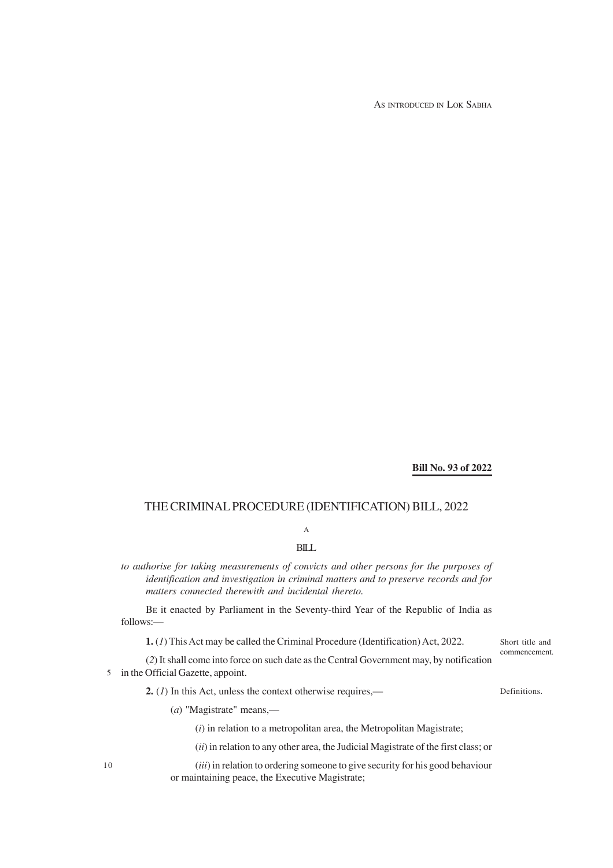AS INTRODUCED IN LOK SABHA

#### **Bill No. 93 of 2022**

### THE CRIMINAL PROCEDURE (IDENTIFICATION) BILL, 2022

# A

## BILL

*to authorise for taking measurements of convicts and other persons for the purposes of identification and investigation in criminal matters and to preserve records and for matters connected therewith and incidental thereto.*

BE it enacted by Parliament in the Seventy-third Year of the Republic of India as follows:—

**1.** (*1*) This Act may be called the Criminal Procedure (Identification) Act, 2022.

(*2*) It shall come into force on such date as the Central Government may, by notification 5 in the Official Gazette, appoint.

**2.** (*1*) In this Act, unless the context otherwise requires,—

Definitions.

Short title and commencement.

(*a*) "Magistrate" means,—

(*i*) in relation to a metropolitan area, the Metropolitan Magistrate;

(*ii*) in relation to any other area, the Judicial Magistrate of the first class; or

(*iii*) in relation to ordering someone to give security for his good behaviour or maintaining peace, the Executive Magistrate;

10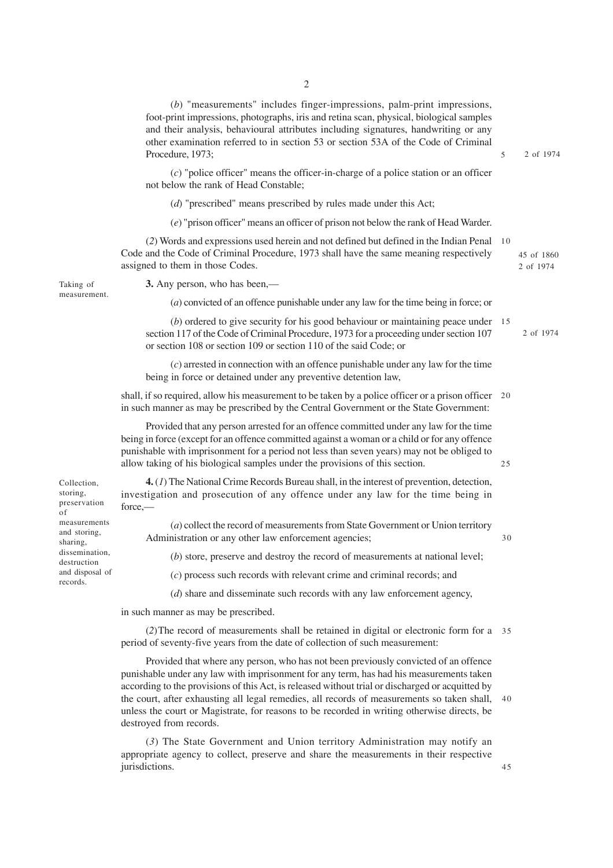(*b*) "measurements" includes finger-impressions, palm-print impressions, foot-print impressions, photographs, iris and retina scan, physical, biological samples and their analysis, behavioural attributes including signatures, handwriting or any other examination referred to in section 53 or section 53A of the Code of Criminal Procedure, 1973; (*c*) "police officer" means the officer-in-charge of a police station or an officer not below the rank of Head Constable; (*d*) "prescribed" means prescribed by rules made under this Act; (*e*) "prison officer" means an officer of prison not below the rank of Head Warder. (*2*) Words and expressions used herein and not defined but defined in the Indian Penal 10 Code and the Code of Criminal Procedure, 1973 shall have the same meaning respectively assigned to them in those Codes. **3.** Any person, who has been,— (*a*) convicted of an offence punishable under any law for the time being in force; or (*b*) ordered to give security for his good behaviour or maintaining peace under 15 section 117 of the Code of Criminal Procedure, 1973 for a proceeding under section 107 or section 108 or section 109 or section 110 of the said Code; or (*c*) arrested in connection with an offence punishable under any law for the time being in force or detained under any preventive detention law, shall, if so required, allow his measurement to be taken by a police officer or a prison officer 20 in such manner as may be prescribed by the Central Government or the State Government: Provided that any person arrested for an offence committed under any law for the time being in force (except for an offence committed against a woman or a child or for any offence punishable with imprisonment for a period not less than seven years) may not be obliged to allow taking of his biological samples under the provisions of this section. **4.** (*1*) The National Crime Records Bureau shall, in the interest of prevention, detection, investigation and prosecution of any offence under any law for the time being in force,— (*a*) collect the record of measurements from State Government or Union territory Administration or any other law enforcement agencies; (*b*) store, preserve and destroy the record of measurements at national level; (*c*) process such records with relevant crime and criminal records; and (*d*) share and disseminate such records with any law enforcement agency, in such manner as may be prescribed. (*2*)The record of measurements shall be retained in digital or electronic form for a 35 period of seventy-five years from the date of collection of such measurement: Provided that where any person, who has not been previously convicted of an offence punishable under any law with imprisonment for any term, has had his measurements taken 2 of 1974 45 of 1860 2 of 1974 2 of 1974 5 25 30

according to the provisions of this Act, is released without trial or discharged or acquitted by the court, after exhausting all legal remedies, all records of measurements so taken shall, 40 unless the court or Magistrate, for reasons to be recorded in writing otherwise directs, be destroyed from records.

(*3*) The State Government and Union territory Administration may notify an appropriate agency to collect, preserve and share the measurements in their respective jurisdictions.

45

Collection, storing, preservation of measurements and storing, sharing, dissemination, destruction and disposal of records.

Taking of measurement. 2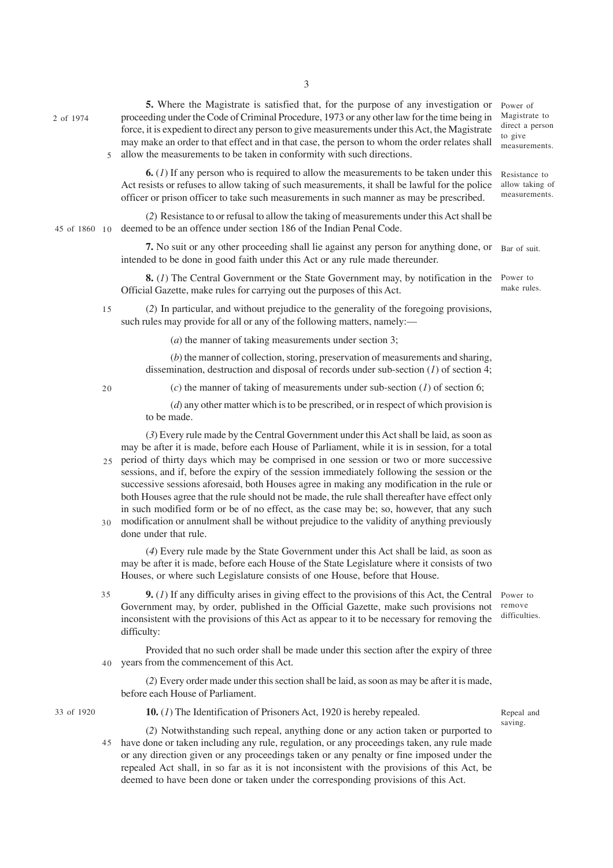2 of 1974

**5.** Where the Magistrate is satisfied that, for the purpose of any investigation or proceeding under the Code of Criminal Procedure, 1973 or any other law for the time being in force, it is expedient to direct any person to give measurements under this Act, the Magistrate may make an order to that effect and in that case, the person to whom the order relates shall 5 allow the measurements to be taken in conformity with such directions.

**6.** (*1*) If any person who is required to allow the measurements to be taken under this Act resists or refuses to allow taking of such measurements, it shall be lawful for the police officer or prison officer to take such measurements in such manner as may be prescribed. Resistance to allow taking of measurements.

(*2*) Resistance to or refusal to allow the taking of measurements under this Act shall be deemed to be an offence under section 186 of the Indian Penal Code. 45 of 1860 10

> 7. No suit or any other proceeding shall lie against any person for anything done, or Bar of suit. intended to be done in good faith under this Act or any rule made thereunder.

**8.** (*1*) The Central Government or the State Government may, by notification in the Official Gazette, make rules for carrying out the purposes of this Act.

(*2*) In particular, and without prejudice to the generality of the foregoing provisions, such rules may provide for all or any of the following matters, namely:— 15

(*a*) the manner of taking measurements under section 3;

(*b*) the manner of collection, storing, preservation of measurements and sharing, dissemination, destruction and disposal of records under sub-section (*1*) of section 4;

 $20$ 

(*c*) the manner of taking of measurements under sub-section (*1*) of section 6;

(*d*) any other matter which is to be prescribed, or in respect of which provision is to be made.

(*3*) Every rule made by the Central Government under this Act shall be laid, as soon as may be after it is made, before each House of Parliament, while it is in session, for a total

- period of thirty days which may be comprised in one session or two or more successive 25 sessions, and if, before the expiry of the session immediately following the session or the successive sessions aforesaid, both Houses agree in making any modification in the rule or both Houses agree that the rule should not be made, the rule shall thereafter have effect only in such modified form or be of no effect, as the case may be; so, however, that any such modification or annulment shall be without prejudice to the validity of anything previously 30
- done under that rule.

(*4*) Every rule made by the State Government under this Act shall be laid, as soon as may be after it is made, before each House of the State Legislature where it consists of two Houses, or where such Legislature consists of one House, before that House.

**9.** (*1*) If any difficulty arises in giving effect to the provisions of this Act, the Central Power to Government may, by order, published in the Official Gazette, make such provisions not inconsistent with the provisions of this Act as appear to it to be necessary for removing the difficulty: 35

remove difficulties.

Provided that no such order shall be made under this section after the expiry of three years from the commencement of this Act.  $40$ 

(*2*) Every order made under this section shall be laid, as soon as may be after it is made, before each House of Parliament.

33 of 1920

**10.** (*1*) The Identification of Prisoners Act, 1920 is hereby repealed.

Repeal and saving.

(*2*) Notwithstanding such repeal, anything done or any action taken or purported to 45 have done or taken including any rule, regulation, or any proceedings taken, any rule made or any direction given or any proceedings taken or any penalty or fine imposed under the repealed Act shall, in so far as it is not inconsistent with the provisions of this Act, be deemed to have been done or taken under the corresponding provisions of this Act.

Magistrate to direct a person to give measurements.

Power of

Power to make rules.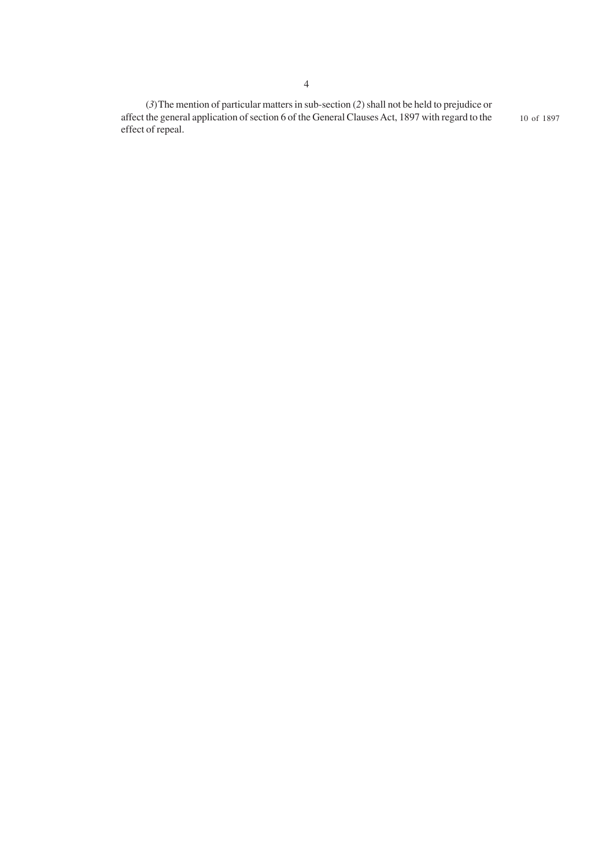(*3*)The mention of particular matters in sub-section (*2*) shall not be held to prejudice or affect the general application of section 6 of the General Clauses Act, 1897 with regard to the effect of repeal. 10 of 1897

4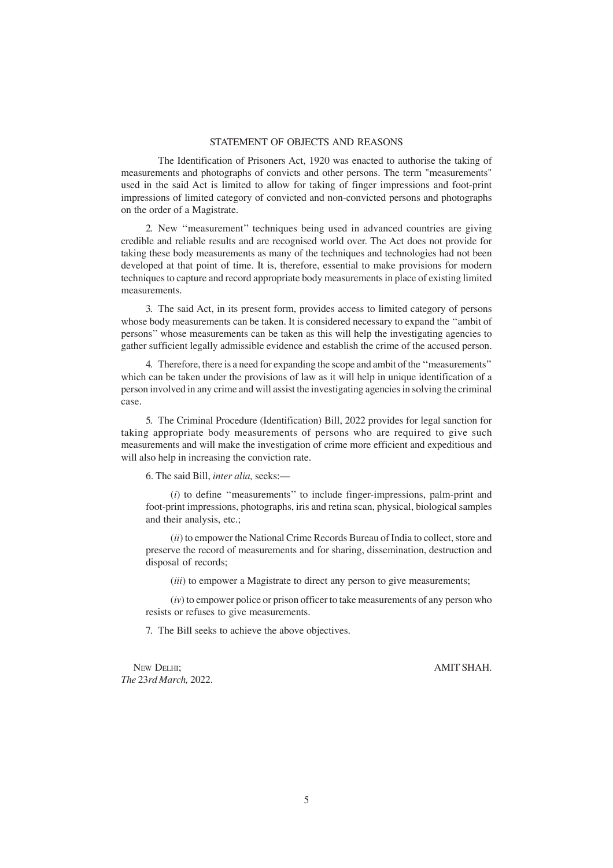### STATEMENT OF OBJECTS AND REASONS

The Identification of Prisoners Act, 1920 was enacted to authorise the taking of measurements and photographs of convicts and other persons. The term "measurements" used in the said Act is limited to allow for taking of finger impressions and foot-print impressions of limited category of convicted and non-convicted persons and photographs on the order of a Magistrate.

2. New ''measurement'' techniques being used in advanced countries are giving credible and reliable results and are recognised world over. The Act does not provide for taking these body measurements as many of the techniques and technologies had not been developed at that point of time. It is, therefore, essential to make provisions for modern techniques to capture and record appropriate body measurements in place of existing limited measurements.

3. The said Act, in its present form, provides access to limited category of persons whose body measurements can be taken. It is considered necessary to expand the ''ambit of persons'' whose measurements can be taken as this will help the investigating agencies to gather sufficient legally admissible evidence and establish the crime of the accused person.

4. Therefore, there is a need for expanding the scope and ambit of the ''measurements'' which can be taken under the provisions of law as it will help in unique identification of a person involved in any crime and will assist the investigating agencies in solving the criminal case.

5. The Criminal Procedure (Identification) Bill, 2022 provides for legal sanction for taking appropriate body measurements of persons who are required to give such measurements and will make the investigation of crime more efficient and expeditious and will also help in increasing the conviction rate.

6. The said Bill, *inter alia,* seeks:—

(*i*) to define ''measurements'' to include finger-impressions, palm-print and foot-print impressions, photographs, iris and retina scan, physical, biological samples and their analysis, etc.;

(*ii*) to empower the National Crime Records Bureau of India to collect, store and preserve the record of measurements and for sharing, dissemination, destruction and disposal of records;

(*iii*) to empower a Magistrate to direct any person to give measurements;

(*iv*) to empower police or prison officer to take measurements of any person who resists or refuses to give measurements.

7. The Bill seeks to achieve the above objectives.

NEW DELHI; AMIT SHAH. *The* 23*rd March,* 2022.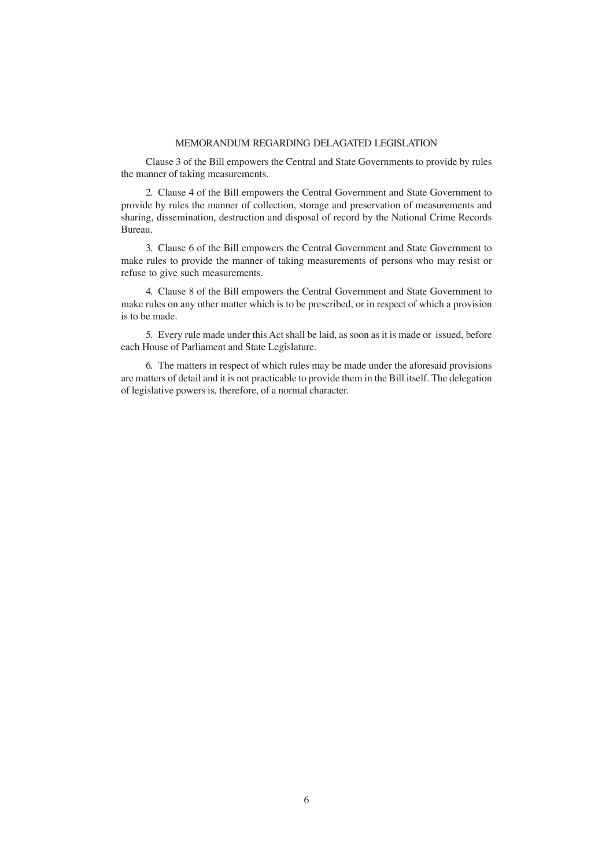### MEMORANDUM REGARDING DELAGATED LEGISLATION

Clause 3 of the Bill empowers the Central and State Governments to provide by rules the manner of taking measurements.

2. Clause 4 of the Bill empowers the Central Government and State Government to provide by rules the manner of collection, storage and preservation of measurements and sharing, dissemination, destruction and disposal of record by the National Crime Records Bureau.

3. Clause 6 of the Bill empowers the Central Government and State Government to make rules to provide the manner of taking measurements of persons who may resist or refuse to give such measurements.

4. Clause 8 of the Bill empowers the Central Government and State Government to make rules on any other matter which is to be prescribed, or in respect of which a provision is to be made.

5. Every rule made under this Act shall be laid, as soon as it is made or issued, before each House of Parliament and State Legislature.

6. The matters in respect of which rules may be made under the aforesaid provisions are matters of detail and it is not practicable to provide them in the Bill itself. The delegation of legislative powers is, therefore, of a normal character.